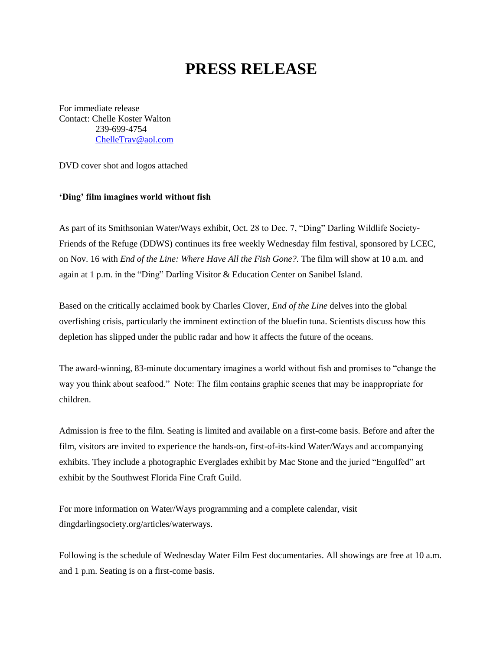## **PRESS RELEASE**

For immediate release Contact: Chelle Koster Walton 239-699-4754 [ChelleTrav@aol.com](mailto:ChelleTrav@aol.com)

DVD cover shot and logos attached

## **'Ding' film imagines world without fish**

As part of its Smithsonian Water/Ways exhibit, Oct. 28 to Dec. 7, "Ding" Darling Wildlife Society-Friends of the Refuge (DDWS) continues its free weekly Wednesday film festival, sponsored by LCEC, on Nov. 16 with *End of the Line: Where Have All the Fish Gone?.* The film will show at 10 a.m. and again at 1 p.m. in the "Ding" Darling Visitor & Education Center on Sanibel Island.

Based on the critically acclaimed book by Charles Clover, *End of the Line* delves into the global overfishing crisis, particularly the imminent extinction of the bluefin tuna. Scientists discuss how this depletion has slipped under the public radar and how it affects the future of the oceans.

The award-winning, 83-minute documentary imagines a world without fish and promises to "change the way you think about seafood." Note: The film contains graphic scenes that may be inappropriate for children.

Admission is free to the film. Seating is limited and available on a first-come basis. Before and after the film, visitors are invited to experience the hands-on, first-of-its-kind Water/Ways and accompanying exhibits. They include a photographic Everglades exhibit by Mac Stone and the juried "Engulfed" art exhibit by the Southwest Florida Fine Craft Guild.

For more information on Water/Ways programming and a complete calendar, visit dingdarlingsociety.org/articles/waterways.

Following is the schedule of Wednesday Water Film Fest documentaries. All showings are free at 10 a.m. and 1 p.m. Seating is on a first-come basis.